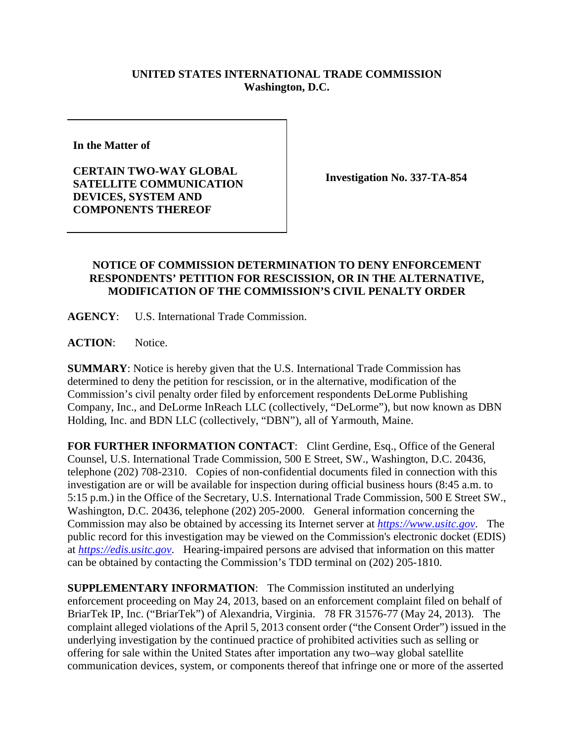## **UNITED STATES INTERNATIONAL TRADE COMMISSION Washington, D.C.**

**In the Matter of** 

**CERTAIN TWO-WAY GLOBAL SATELLITE COMMUNICATION DEVICES, SYSTEM AND COMPONENTS THEREOF**

**Investigation No. 337-TA-854**

## **NOTICE OF COMMISSION DETERMINATION TO DENY ENFORCEMENT RESPONDENTS' PETITION FOR RESCISSION, OR IN THE ALTERNATIVE, MODIFICATION OF THE COMMISSION'S CIVIL PENALTY ORDER**

**AGENCY**: U.S. International Trade Commission.

**ACTION**: Notice.

**SUMMARY**: Notice is hereby given that the U.S. International Trade Commission has determined to deny the petition for rescission, or in the alternative, modification of the Commission's civil penalty order filed by enforcement respondents DeLorme Publishing Company, Inc., and DeLorme InReach LLC (collectively, "DeLorme"), but now known as DBN Holding, Inc. and BDN LLC (collectively, "DBN"), all of Yarmouth, Maine.

FOR FURTHER INFORMATION CONTACT: Clint Gerdine, Esq., Office of the General Counsel, U.S. International Trade Commission, 500 E Street, SW., Washington, D.C. 20436, telephone (202) 708-2310. Copies of non-confidential documents filed in connection with this investigation are or will be available for inspection during official business hours (8:45 a.m. to 5:15 p.m.) in the Office of the Secretary, U.S. International Trade Commission, 500 E Street SW., Washington, D.C. 20436, telephone (202) 205-2000. General information concerning the Commission may also be obtained by accessing its Internet server at *[https://www.usitc.gov](https://www.usitc.gov/)*. The public record for this investigation may be viewed on the Commission's electronic docket (EDIS) at *[https://edis.usitc.gov](https://edis.usitc.gov/)*. Hearing-impaired persons are advised that information on this matter can be obtained by contacting the Commission's TDD terminal on (202) 205-1810.

**SUPPLEMENTARY INFORMATION**: The Commission instituted an underlying enforcement proceeding on May 24, 2013, based on an enforcement complaint filed on behalf of BriarTek IP, Inc. ("BriarTek") of Alexandria, Virginia. 78 FR 31576-77 (May 24, 2013). The complaint alleged violations of the April 5, 2013 consent order ("the Consent Order") issued in the underlying investigation by the continued practice of prohibited activities such as selling or offering for sale within the United States after importation any two–way global satellite communication devices, system, or components thereof that infringe one or more of the asserted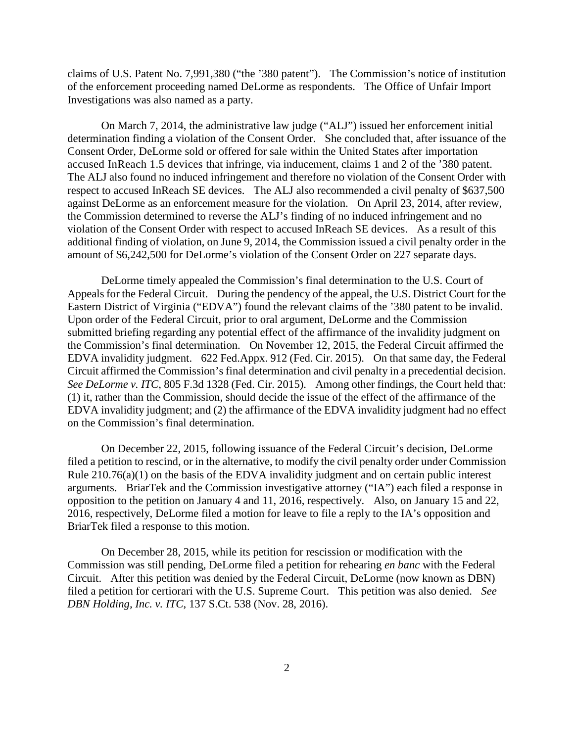claims of U.S. Patent No. 7,991,380 ("the '380 patent"). The Commission's notice of institution of the enforcement proceeding named DeLorme as respondents. The Office of Unfair Import Investigations was also named as a party.

On March 7, 2014, the administrative law judge ("ALJ") issued her enforcement initial determination finding a violation of the Consent Order. She concluded that, after issuance of the Consent Order, DeLorme sold or offered for sale within the United States after importation accused InReach 1.5 devices that infringe, via inducement, claims 1 and 2 of the '380 patent. The ALJ also found no induced infringement and therefore no violation of the Consent Order with respect to accused InReach SE devices. The ALJ also recommended a civil penalty of \$637,500 against DeLorme as an enforcement measure for the violation. On April 23, 2014, after review, the Commission determined to reverse the ALJ's finding of no induced infringement and no violation of the Consent Order with respect to accused InReach SE devices. As a result of this additional finding of violation, on June 9, 2014, the Commission issued a civil penalty order in the amount of \$6,242,500 for DeLorme's violation of the Consent Order on 227 separate days.

DeLorme timely appealed the Commission's final determination to the U.S. Court of Appeals for the Federal Circuit. During the pendency of the appeal, the U.S. District Court for the Eastern District of Virginia ("EDVA") found the relevant claims of the '380 patent to be invalid. Upon order of the Federal Circuit, prior to oral argument, DeLorme and the Commission submitted briefing regarding any potential effect of the affirmance of the invalidity judgment on the Commission's final determination. On November 12, 2015, the Federal Circuit affirmed the EDVA invalidity judgment. 622 Fed.Appx. 912 (Fed. Cir. 2015). On that same day, the Federal Circuit affirmed the Commission's final determination and civil penalty in a precedential decision. *See DeLorme v. ITC*, 805 F.3d 1328 (Fed. Cir. 2015). Among other findings, the Court held that: (1) it, rather than the Commission, should decide the issue of the effect of the affirmance of the EDVA invalidity judgment; and (2) the affirmance of the EDVA invalidity judgment had no effect on the Commission's final determination.

On December 22, 2015, following issuance of the Federal Circuit's decision, DeLorme filed a petition to rescind, or in the alternative, to modify the civil penalty order under Commission Rule  $210.76(a)(1)$  on the basis of the EDVA invalidity judgment and on certain public interest arguments. BriarTek and the Commission investigative attorney ("IA") each filed a response in opposition to the petition on January 4 and 11, 2016, respectively. Also, on January 15 and 22, 2016, respectively, DeLorme filed a motion for leave to file a reply to the IA's opposition and BriarTek filed a response to this motion.

On December 28, 2015, while its petition for rescission or modification with the Commission was still pending, DeLorme filed a petition for rehearing *en banc* with the Federal Circuit. After this petition was denied by the Federal Circuit, DeLorme (now known as DBN) filed a petition for certiorari with the U.S. Supreme Court. This petition was also denied. *See DBN Holding, Inc. v. ITC*, 137 S.Ct. 538 (Nov. 28, 2016).